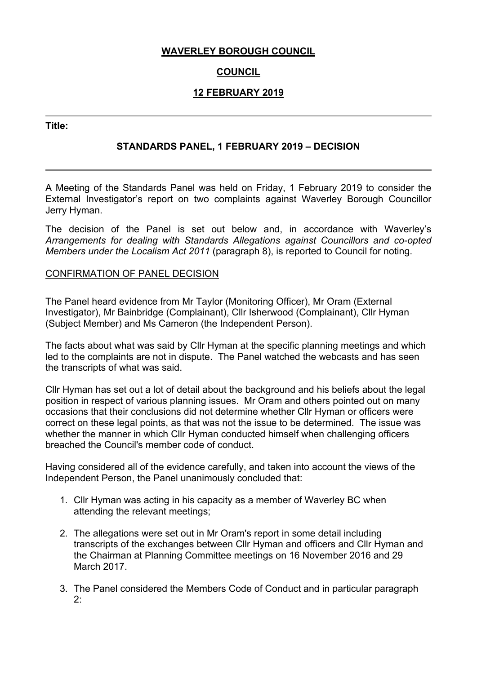### **WAVERLEY BOROUGH COUNCIL**

# **COUNCIL**

# **12 FEBRUARY 2019**

**Title:**

## **STANDARDS PANEL, 1 FEBRUARY 2019 – DECISION**

A Meeting of the Standards Panel was held on Friday, 1 February 2019 to consider the External Investigator's report on two complaints against Waverley Borough Councillor Jerry Hyman.

The decision of the Panel is set out below and, in accordance with Waverley's *Arrangements for dealing with Standards Allegations against Councillors and co-opted Members under the Localism Act 2011* (paragraph 8), is reported to Council for noting.

### CONFIRMATION OF PANEL DECISION

The Panel heard evidence from Mr Taylor (Monitoring Officer), Mr Oram (External Investigator), Mr Bainbridge (Complainant), Cllr Isherwood (Complainant), Cllr Hyman (Subject Member) and Ms Cameron (the Independent Person).

The facts about what was said by Cllr Hyman at the specific planning meetings and which led to the complaints are not in dispute. The Panel watched the webcasts and has seen the transcripts of what was said.

Cllr Hyman has set out a lot of detail about the background and his beliefs about the legal position in respect of various planning issues. Mr Oram and others pointed out on many occasions that their conclusions did not determine whether Cllr Hyman or officers were correct on these legal points, as that was not the issue to be determined. The issue was whether the manner in which Cllr Hyman conducted himself when challenging officers breached the Council's member code of conduct.

Having considered all of the evidence carefully, and taken into account the views of the Independent Person, the Panel unanimously concluded that:

- 1. Cllr Hyman was acting in his capacity as a member of Waverley BC when attending the relevant meetings;
- 2. The allegations were set out in Mr Oram's report in some detail including transcripts of the exchanges between Cllr Hyman and officers and Cllr Hyman and the Chairman at Planning Committee meetings on 16 November 2016 and 29 March 2017.
- 3. The Panel considered the Members Code of Conduct and in particular paragraph 2: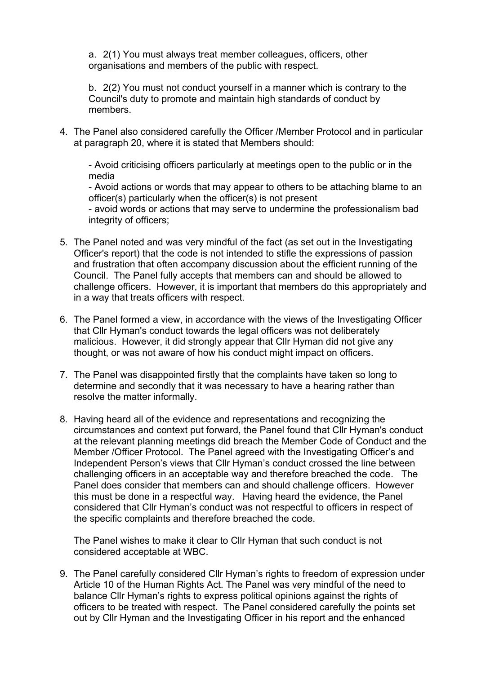a. 2(1) You must always treat member colleagues, officers, other organisations and members of the public with respect.

b. 2(2) You must not conduct yourself in a manner which is contrary to the Council's duty to promote and maintain high standards of conduct by members.

4. The Panel also considered carefully the Officer /Member Protocol and in particular at paragraph 20, where it is stated that Members should:

- Avoid criticising officers particularly at meetings open to the public or in the media

- Avoid actions or words that may appear to others to be attaching blame to an officer(s) particularly when the officer(s) is not present

- avoid words or actions that may serve to undermine the professionalism bad integrity of officers;

- 5. The Panel noted and was very mindful of the fact (as set out in the Investigating Officer's report) that the code is not intended to stifle the expressions of passion and frustration that often accompany discussion about the efficient running of the Council. The Panel fully accepts that members can and should be allowed to challenge officers. However, it is important that members do this appropriately and in a way that treats officers with respect.
- 6. The Panel formed a view, in accordance with the views of the Investigating Officer that Cllr Hyman's conduct towards the legal officers was not deliberately malicious. However, it did strongly appear that Cllr Hyman did not give any thought, or was not aware of how his conduct might impact on officers.
- 7. The Panel was disappointed firstly that the complaints have taken so long to determine and secondly that it was necessary to have a hearing rather than resolve the matter informally.
- 8. Having heard all of the evidence and representations and recognizing the circumstances and context put forward, the Panel found that Cllr Hyman's conduct at the relevant planning meetings did breach the Member Code of Conduct and the Member /Officer Protocol. The Panel agreed with the Investigating Officer's and Independent Person's views that Cllr Hyman's conduct crossed the line between challenging officers in an acceptable way and therefore breached the code. The Panel does consider that members can and should challenge officers. However this must be done in a respectful way. Having heard the evidence, the Panel considered that Cllr Hyman's conduct was not respectful to officers in respect of the specific complaints and therefore breached the code.

The Panel wishes to make it clear to Cllr Hyman that such conduct is not considered acceptable at WBC.

9. The Panel carefully considered Cllr Hyman's rights to freedom of expression under Article 10 of the Human Rights Act. The Panel was very mindful of the need to balance Cllr Hyman's rights to express political opinions against the rights of officers to be treated with respect. The Panel considered carefully the points set out by Cllr Hyman and the Investigating Officer in his report and the enhanced